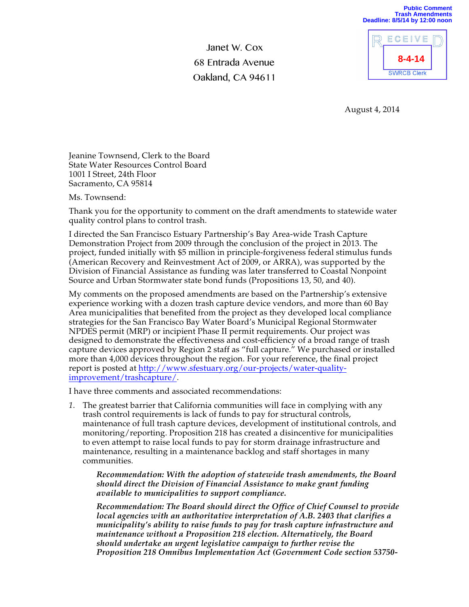Janet W. Cox 68 Entrada Avenue Oakland, CA 94611



**Public Comment**

August 4, 2014

Jeanine Townsend, Clerk to the Board State Water Resources Control Board 1001 I Street, 24th Floor Sacramento, CA 95814

Ms. Townsend:

Thank you for the opportunity to comment on the draft amendments to statewide water quality control plans to control trash.

I directed the San Francisco Estuary Partnership's Bay Area-wide Trash Capture Demonstration Project from 2009 through the conclusion of the project in 2013. The project, funded initially with \$5 million in principle-forgiveness federal stimulus funds (American Recovery and Reinvestment Act of 2009, or ARRA), was supported by the Division of Financial Assistance as funding was later transferred to Coastal Nonpoint Source and Urban Stormwater state bond funds (Propositions 13, 50, and 40).

My comments on the proposed amendments are based on the Partnership's extensive experience working with a dozen trash capture device vendors, and more than 60 Bay Area municipalities that benefited from the project as they developed local compliance strategies for the San Francisco Bay Water Board's Municipal Regional Stormwater NPDES permit (MRP) or incipient Phase II permit requirements. Our project was designed to demonstrate the effectiveness and cost-efficiency of a broad range of trash capture devices approved by Region 2 staff as "full capture." We purchased or installed more than 4,000 devices throughout the region. For your reference, the final project report is posted at http://www.sfestuary.org/our-projects/water-qualityimprovement/trashcapture/.

I have three comments and associated recommendations:

*1.* The greatest barrier that California communities will face in complying with any trash control requirements is lack of funds to pay for structural controls, maintenance of full trash capture devices, development of institutional controls, and monitoring/reporting. Proposition 218 has created a disincentive for municipalities to even attempt to raise local funds to pay for storm drainage infrastructure and maintenance, resulting in a maintenance backlog and staff shortages in many communities.

*Recommendation: With the adoption of statewide trash amendments, the Board should direct the Division of Financial Assistance to make grant funding available to municipalities to support compliance.*

*Recommendation: The Board should direct the Office of Chief Counsel to provide local agencies with an authoritative interpretation of A.B. 2403 that clarifies a municipality's ability to raise funds to pay for trash capture infrastructure and maintenance without a Proposition 218 election. Alternatively, the Board should undertake an urgent legislative campaign to further revise the Proposition 218 Omnibus Implementation Act (Government Code section 53750-*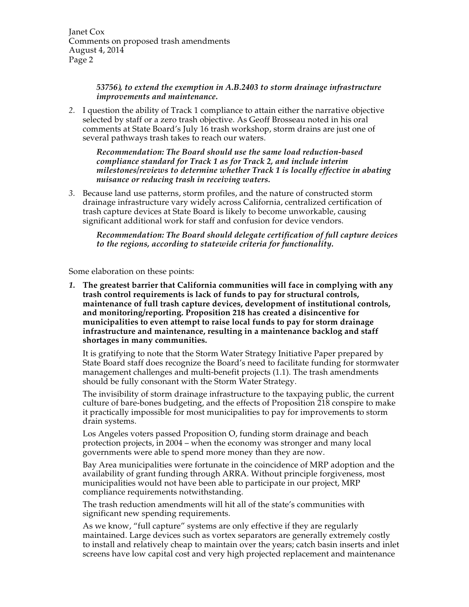Janet Cox Comments on proposed trash amendments August 4, 2014 Page 2

> *53756), to extend the exemption in A.B.2403 to storm drainage infrastructure improvements and maintenance.*

*2.* I question the ability of Track 1 compliance to attain either the narrative objective selected by staff or a zero trash objective. As Geoff Brosseau noted in his oral comments at State Board's July 16 trash workshop, storm drains are just one of several pathways trash takes to reach our waters.

*Recommendation: The Board should use the same load reduction-based compliance standard for Track 1 as for Track 2, and include interim milestones/reviews to determine whether Track 1 is locally effective in abating nuisance or reducing trash in receiving waters.*

*3.* Because land use patterns, storm profiles, and the nature of constructed storm drainage infrastructure vary widely across California, centralized certification of trash capture devices at State Board is likely to become unworkable, causing significant additional work for staff and confusion for device vendors.

*Recommendation: The Board should delegate certification of full capture devices to the regions, according to statewide criteria for functionality.*

Some elaboration on these points:

*1.* **The greatest barrier that California communities will face in complying with any trash control requirements is lack of funds to pay for structural controls, maintenance of full trash capture devices, development of institutional controls, and monitoring/reporting. Proposition 218 has created a disincentive for municipalities to even attempt to raise local funds to pay for storm drainage infrastructure and maintenance, resulting in a maintenance backlog and staff shortages in many communities.**

It is gratifying to note that the Storm Water Strategy Initiative Paper prepared by State Board staff does recognize the Board's need to facilitate funding for stormwater management challenges and multi-benefit projects (1.1). The trash amendments should be fully consonant with the Storm Water Strategy.

The invisibility of storm drainage infrastructure to the taxpaying public, the current culture of bare-bones budgeting, and the effects of Proposition 218 conspire to make it practically impossible for most municipalities to pay for improvements to storm drain systems.

Los Angeles voters passed Proposition O, funding storm drainage and beach protection projects, in 2004 – when the economy was stronger and many local governments were able to spend more money than they are now.

Bay Area municipalities were fortunate in the coincidence of MRP adoption and the availability of grant funding through ARRA. Without principle forgiveness, most municipalities would not have been able to participate in our project, MRP compliance requirements notwithstanding.

The trash reduction amendments will hit all of the state's communities with significant new spending requirements.

As we know, "full capture" systems are only effective if they are regularly maintained. Large devices such as vortex separators are generally extremely costly to install and relatively cheap to maintain over the years; catch basin inserts and inlet screens have low capital cost and very high projected replacement and maintenance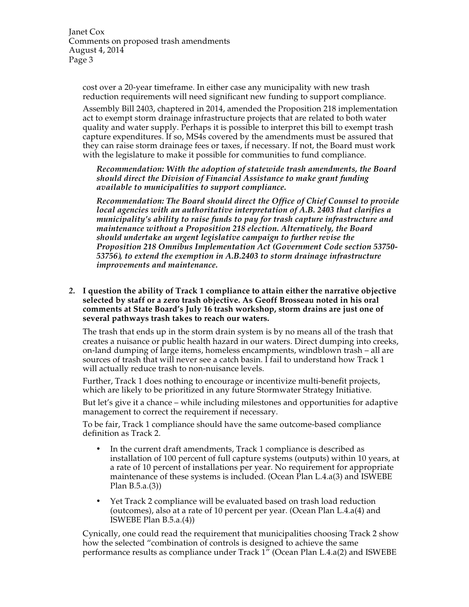Janet Cox Comments on proposed trash amendments August 4, 2014 Page 3

cost over a 20-year timeframe. In either case any municipality with new trash reduction requirements will need significant new funding to support compliance.

Assembly Bill 2403, chaptered in 2014, amended the Proposition 218 implementation act to exempt storm drainage infrastructure projects that are related to both water quality and water supply. Perhaps it is possible to interpret this bill to exempt trash capture expenditures. If so, MS4s covered by the amendments must be assured that they can raise storm drainage fees or taxes, if necessary. If not, the Board must work with the legislature to make it possible for communities to fund compliance.

*Recommendation: With the adoption of statewide trash amendments, the Board should direct the Division of Financial Assistance to make grant funding available to municipalities to support compliance.*

*Recommendation: The Board should direct the Office of Chief Counsel to provide local agencies with an authoritative interpretation of A.B. 2403 that clarifies a municipality's ability to raise funds to pay for trash capture infrastructure and maintenance without a Proposition 218 election. Alternatively, the Board should undertake an urgent legislative campaign to further revise the Proposition 218 Omnibus Implementation Act (Government Code section 53750- 53756), to extend the exemption in A.B.2403 to storm drainage infrastructure improvements and maintenance.*

*2.* **I question the ability of Track 1 compliance to attain either the narrative objective selected by staff or a zero trash objective. As Geoff Brosseau noted in his oral comments at State Board's July 16 trash workshop, storm drains are just one of several pathways trash takes to reach our waters.** 

The trash that ends up in the storm drain system is by no means all of the trash that creates a nuisance or public health hazard in our waters. Direct dumping into creeks, on-land dumping of large items, homeless encampments, windblown trash – all are sources of trash that will never see a catch basin. I fail to understand how Track 1 will actually reduce trash to non-nuisance levels.

Further, Track 1 does nothing to encourage or incentivize multi-benefit projects, which are likely to be prioritized in any future Stormwater Strategy Initiative.

But let's give it a chance – while including milestones and opportunities for adaptive management to correct the requirement if necessary.

To be fair, Track 1 compliance should have the same outcome-based compliance definition as Track 2.

- In the current draft amendments, Track 1 compliance is described as installation of 100 percent of full capture systems (outputs) within 10 years, at a rate of 10 percent of installations per year. No requirement for appropriate maintenance of these systems is included. (Ocean Plan L.4.a(3) and ISWEBE Plan B.5.a.(3))
- Yet Track 2 compliance will be evaluated based on trash load reduction (outcomes), also at a rate of 10 percent per year. (Ocean Plan L.4.a(4) and ISWEBE Plan B.5.a.(4))

Cynically, one could read the requirement that municipalities choosing Track 2 show how the selected "combination of controls is designed to achieve the same performance results as compliance under Track  $1^{\prime\prime}$  (Ocean Plan L.4.a(2) and ISWEBE